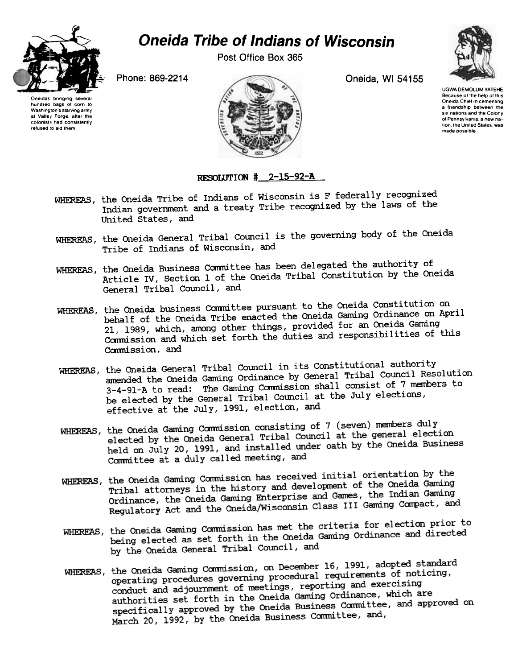

## Oneida Tribe of Indians of Wisconsin

Post Office Box 365



Oneidas bringing several hundred bags of corn to<br>Washinoton's starving army Washington's starving army at Vallet Forge, after the colonists had consistently refused to aid them



UGWA DEMOLUM YATEHE Because of the help of this<br>Oneida Chief in cementing a friendship between the six nations and the Colony of Pennsylvama a new nation, the United States, was made possible

## RESOLUTION  $\text{\#}$  2-15-92-A

- WHEREAS, the Oneida Tribe of Indians of Wisconsin is F federally recognized Indian government and a treaty Tribe recognized by the laws of the United states, and
- WHEREAS, the Oneida General Tribal Council is the governing body of the Oneida Tribe of Indians of Wisconsin, and
- WHEREAS, the Oneida Business Committee has been delegated the authority of Article IV, Section 1 of the Oneida Tribal Constitution by the Oneida General Tribal Council, and
- WHEREAS, the Oneida business Committee pursuant to the Oneida Constitution on behalf of the Oneida Tribe enacted the Oneida Gaming Ordinance on April 21, 1989, which, among other things, provided for an Oneida Gaming Commission and which set forth the duties and responsibilities of this Commission, and
- WHEREAS, the Oneida General Tribal Council in its Constitutional authority amended the Oneida Gaming Ordinance by General Tribal Council Resolution 3-4-91-A to read: The Gaming Commission shall consist of 7 members to be elected by the General Tribal Council at the July elections, effective at the July, 1991, election, and
- WHEREAS, the Oneida Gaming Commission consisting of 7 (seven) members duly the Oneida Gaming Commission consisting of 7 (Seven) members and reference election<br>elected by the Oneida General Tribal Council at the general election elected by the Oneida General Tribal Council at the general Process<br>held on July 20, 1991, and installed under oath by the Oneida Business Committee at a duly called meeting, and
- WHEREAS, the Oneida Gaming Commission has received initial orientation by the the Oneida Gaming Commission has received initial criticalists.<br>Tribal attorneys in the history and development of the Oneida Gaming<br>Tribal attorneys in the history and development of the Indian Gaming Tribal attorneys in the history and development of the cheaner contains<br>Ordinance, the Oneida Gaming Enterprise and Games, the Indian Gaming<br>Compact. and Ordinance, the Oneida Gaming Enterprise and Games, the International Regulatory Act and the Oneida/Wisconsin Class III Gaming Compact, and
- WHEREAS, the Oneida Gaming Commission has met the criteria for election prior to the Oneida Gaming Commission has met the criteria for erection prior being elected as set forth in the Oneida Gaming Ordinance and directed being elected as sec for the line of the one of the Oneida General Tribal Council, and
- WHEREAS, the Oneida Gaming Commission, on December 16, 1991, adopted standard the Oneida Gaming Commission, on December 10, 1991, daspect Premier<br>operating procedures governing procedural requirements of noticing, operating procedures governing procedural requirement<br>conduct and adjournment of meetings, reporting and exercising conduct and adjournment of meetings, reporting that the care of a authorities set forth in the Oneida Gaming Ordinance, which are authorities set forth in the Oneida Gamilia Ordinance, where are<br>specifically approved by the Oneida Business Committee, and approved on specifically approved by the Oneida Business Committee, and,<br>March 20, 1992, by the Oneida Business Committee, and,